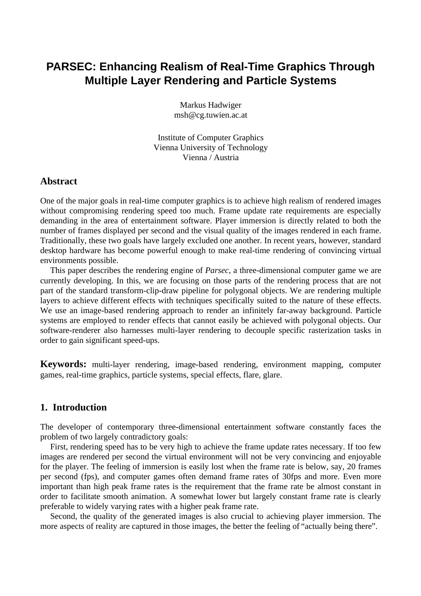# **PARSEC: Enhancing Realism of Real-Time Graphics Through Multiple Layer Rendering and Particle Systems**

Markus Hadwiger msh@cg.tuwien.ac.at

Institute of Computer Graphics Vienna University of Technology Vienna / Austria

## **Abstract**

One of the major goals in real-time computer graphics is to achieve high realism of rendered images without compromising rendering speed too much. Frame update rate requirements are especially demanding in the area of entertainment software. Player immersion is directly related to both the number of frames displayed per second and the visual quality of the images rendered in each frame. Traditionally, these two goals have largely excluded one another. In recent years, however, standard desktop hardware has become powerful enough to make real-time rendering of convincing virtual environments possible.

This paper describes the rendering engine of *Parsec*, a three-dimensional computer game we are currently developing. In this, we are focusing on those parts of the rendering process that are not part of the standard transform-clip-draw pipeline for polygonal objects. We are rendering multiple layers to achieve different effects with techniques specifically suited to the nature of these effects. We use an image-based rendering approach to render an infinitely far-away background. Particle systems are employed to render effects that cannot easily be achieved with polygonal objects. Our software-renderer also harnesses multi-layer rendering to decouple specific rasterization tasks in order to gain significant speed-ups.

**Keywords:** multi-layer rendering, image-based rendering, environment mapping, computer games, real-time graphics, particle systems, special effects, flare, glare.

## **1. Introduction**

The developer of contemporary three-dimensional entertainment software constantly faces the problem of two largely contradictory goals:

First, rendering speed has to be very high to achieve the frame update rates necessary. If too few images are rendered per second the virtual environment will not be very convincing and enjoyable for the player. The feeling of immersion is easily lost when the frame rate is below, say, 20 frames per second (fps), and computer games often demand frame rates of 30fps and more. Even more important than high peak frame rates is the requirement that the frame rate be almost constant in order to facilitate smooth animation. A somewhat lower but largely constant frame rate is clearly preferable to widely varying rates with a higher peak frame rate.

Second, the quality of the generated images is also crucial to achieving player immersion. The more aspects of reality are captured in those images, the better the feeling of "actually being there".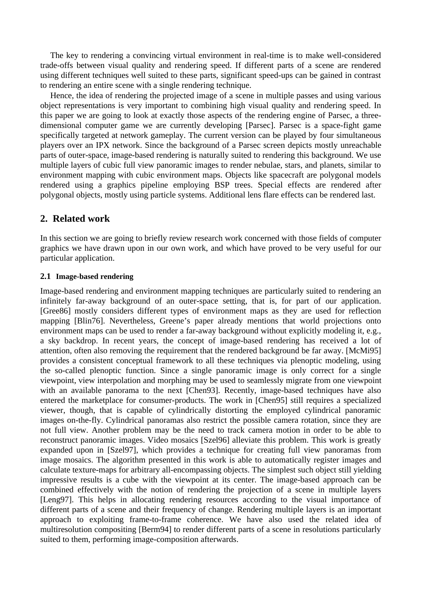The key to rendering a convincing virtual environment in real-time is to make well-considered trade-offs between visual quality and rendering speed. If different parts of a scene are rendered using different techniques well suited to these parts, significant speed-ups can be gained in contrast to rendering an entire scene with a single rendering technique.

Hence, the idea of rendering the projected image of a scene in multiple passes and using various object representations is very important to combining high visual quality and rendering speed. In this paper we are going to look at exactly those aspects of the rendering engine of Parsec, a threedimensional computer game we are currently developing [Parsec]. Parsec is a space-fight game specifically targeted at network gameplay. The current version can be played by four simultaneous players over an IPX network. Since the background of a Parsec screen depicts mostly unreachable parts of outer-space, image-based rendering is naturally suited to rendering this background. We use multiple layers of cubic full view panoramic images to render nebulae, stars, and planets, similar to environment mapping with cubic environment maps. Objects like spacecraft are polygonal models rendered using a graphics pipeline employing BSP trees. Special effects are rendered after polygonal objects, mostly using particle systems. Additional lens flare effects can be rendered last.

## **2. Related work**

In this section we are going to briefly review research work concerned with those fields of computer graphics we have drawn upon in our own work, and which have proved to be very useful for our particular application.

#### **2.1 Image-based rendering**

Image-based rendering and environment mapping techniques are particularly suited to rendering an infinitely far-away background of an outer-space setting, that is, for part of our application. [Gree86] mostly considers different types of environment maps as they are used for reflection mapping [Blin76]. Nevertheless, Greene's paper already mentions that world projections onto environment maps can be used to render a far-away background without explicitly modeling it, e.g., a sky backdrop. In recent years, the concept of image-based rendering has received a lot of attention, often also removing the requirement that the rendered background be far away. [McMi95] provides a consistent conceptual framework to all these techniques via plenoptic modeling, using the so-called plenoptic function. Since a single panoramic image is only correct for a single viewpoint, view interpolation and morphing may be used to seamlessly migrate from one viewpoint with an available panorama to the next [Chen93]. Recently, image-based techniques have also entered the marketplace for consumer-products. The work in [Chen95] still requires a specialized viewer, though, that is capable of cylindrically distorting the employed cylindrical panoramic images on-the-fly. Cylindrical panoramas also restrict the possible camera rotation, since they are not full view. Another problem may be the need to track camera motion in order to be able to reconstruct panoramic images. Video mosaics [Szel96] alleviate this problem. This work is greatly expanded upon in [Szel97], which provides a technique for creating full view panoramas from image mosaics. The algorithm presented in this work is able to automatically register images and calculate texture-maps for arbitrary all-encompassing objects. The simplest such object still yielding impressive results is a cube with the viewpoint at its center. The image-based approach can be combined effectively with the notion of rendering the projection of a scene in multiple layers [Leng97]. This helps in allocating rendering resources according to the visual importance of different parts of a scene and their frequency of change. Rendering multiple layers is an important approach to exploiting frame-to-frame coherence. We have also used the related idea of multiresolution compositing [Berm94] to render different parts of a scene in resolutions particularly suited to them, performing image-composition afterwards.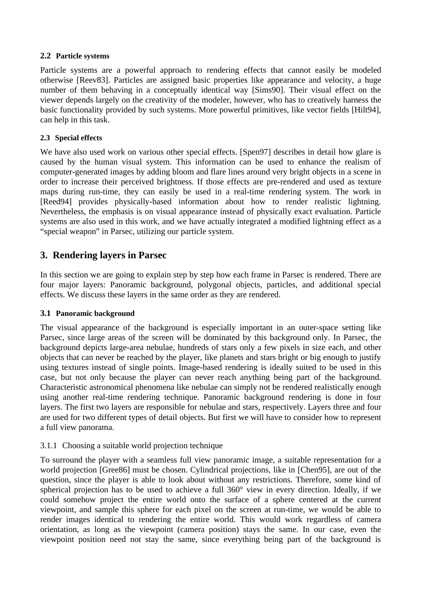### **2.2 Particle systems**

Particle systems are a powerful approach to rendering effects that cannot easily be modeled otherwise [Reev83]. Particles are assigned basic properties like appearance and velocity, a huge number of them behaving in a conceptually identical way [Sims90]. Their visual effect on the viewer depends largely on the creativity of the modeler, however, who has to creatively harness the basic functionality provided by such systems. More powerful primitives, like vector fields [Hilt94], can help in this task.

## **2.3 Special effects**

We have also used work on various other special effects. [Spen97] describes in detail how glare is caused by the human visual system. This information can be used to enhance the realism of computer-generated images by adding bloom and flare lines around very bright objects in a scene in order to increase their perceived brightness. If those effects are pre-rendered and used as texture maps during run-time, they can easily be used in a real-time rendering system. The work in [Reed94] provides physically-based information about how to render realistic lightning. Nevertheless, the emphasis is on visual appearance instead of physically exact evaluation. Particle systems are also used in this work, and we have actually integrated a modified lightning effect as a "special weapon" in Parsec, utilizing our particle system.

## **3. Rendering layers in Parsec**

In this section we are going to explain step by step how each frame in Parsec is rendered. There are four major layers: Panoramic background, polygonal objects, particles, and additional special effects. We discuss these layers in the same order as they are rendered.

## **3.1 Panoramic background**

The visual appearance of the background is especially important in an outer-space setting like Parsec, since large areas of the screen will be dominated by this background only. In Parsec, the background depicts large-area nebulae, hundreds of stars only a few pixels in size each, and other objects that can never be reached by the player, like planets and stars bright or big enough to justify using textures instead of single points. Image-based rendering is ideally suited to be used in this case, but not only because the player can never reach anything being part of the background. Characteristic astronomical phenomena like nebulae can simply not be rendered realistically enough using another real-time rendering technique. Panoramic background rendering is done in four layers. The first two layers are responsible for nebulae and stars, respectively. Layers three and four are used for two different types of detail objects. But first we will have to consider how to represent a full view panorama.

## 3.1.1 Choosing a suitable world projection technique

To surround the player with a seamless full view panoramic image, a suitable representation for a world projection [Gree86] must be chosen. Cylindrical projections, like in [Chen95], are out of the question, since the player is able to look about without any restrictions. Therefore, some kind of spherical projection has to be used to achieve a full 360° view in every direction. Ideally, if we could somehow project the entire world onto the surface of a sphere centered at the current viewpoint, and sample this sphere for each pixel on the screen at run-time, we would be able to render images identical to rendering the entire world. This would work regardless of camera orientation, as long as the viewpoint (camera position) stays the same. In our case, even the viewpoint position need not stay the same, since everything being part of the background is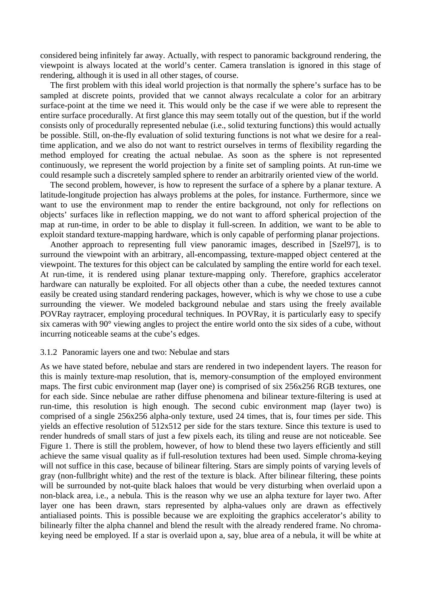considered being infinitely far away. Actually, with respect to panoramic background rendering, the viewpoint is always located at the world's center. Camera translation is ignored in this stage of rendering, although it is used in all other stages, of course.

The first problem with this ideal world projection is that normally the sphere's surface has to be sampled at discrete points, provided that we cannot always recalculate a color for an arbitrary surface-point at the time we need it. This would only be the case if we were able to represent the entire surface procedurally. At first glance this may seem totally out of the question, but if the world consists only of procedurally represented nebulae (i.e., solid texturing functions) this would actually be possible. Still, on-the-fly evaluation of solid texturing functions is not what we desire for a realtime application, and we also do not want to restrict ourselves in terms of flexibility regarding the method employed for creating the actual nebulae. As soon as the sphere is not represented continuously, we represent the world projection by a finite set of sampling points. At run-time we could resample such a discretely sampled sphere to render an arbitrarily oriented view of the world.

The second problem, however, is how to represent the surface of a sphere by a planar texture. A latitude-longitude projection has always problems at the poles, for instance. Furthermore, since we want to use the environment map to render the entire background, not only for reflections on objects' surfaces like in reflection mapping, we do not want to afford spherical projection of the map at run-time, in order to be able to display it full-screen. In addition, we want to be able to exploit standard texture-mapping hardware, which is only capable of performing planar projections.

Another approach to representing full view panoramic images, described in [Szel97], is to surround the viewpoint with an arbitrary, all-encompassing, texture-mapped object centered at the viewpoint. The textures for this object can be calculated by sampling the entire world for each texel. At run-time, it is rendered using planar texture-mapping only. Therefore, graphics accelerator hardware can naturally be exploited. For all objects other than a cube, the needed textures cannot easily be created using standard rendering packages, however, which is why we chose to use a cube surrounding the viewer. We modeled background nebulae and stars using the freely available POVRay raytracer, employing procedural techniques. In POVRay, it is particularly easy to specify six cameras with 90° viewing angles to project the entire world onto the six sides of a cube, without incurring noticeable seams at the cube's edges.

#### 3.1.2 Panoramic layers one and two: Nebulae and stars

As we have stated before, nebulae and stars are rendered in two independent layers. The reason for this is mainly texture-map resolution, that is, memory-consumption of the employed environment maps. The first cubic environment map (layer one) is comprised of six 256x256 RGB textures, one for each side. Since nebulae are rather diffuse phenomena and bilinear texture-filtering is used at run-time, this resolution is high enough. The second cubic environment map (layer two) is comprised of a single 256x256 alpha-only texture, used 24 times, that is, four times per side. This yields an effective resolution of 512x512 per side for the stars texture. Since this texture is used to render hundreds of small stars of just a few pixels each, its tiling and reuse are not noticeable. See Figure 1. There is still the problem, however, of how to blend these two layers efficiently and still achieve the same visual quality as if full-resolution textures had been used. Simple chroma-keying will not suffice in this case, because of bilinear filtering. Stars are simply points of varying levels of gray (non-fullbright white) and the rest of the texture is black. After bilinear filtering, these points will be surrounded by not-quite black haloes that would be very disturbing when overlaid upon a non-black area, i.e., a nebula. This is the reason why we use an alpha texture for layer two. After layer one has been drawn, stars represented by alpha-values only are drawn as effectively antialiased points. This is possible because we are exploiting the graphics accelerator's ability to bilinearly filter the alpha channel and blend the result with the already rendered frame. No chromakeying need be employed. If a star is overlaid upon a, say, blue area of a nebula, it will be white at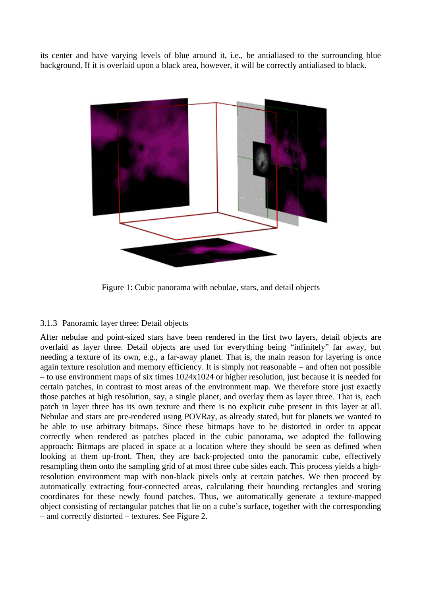its center and have varying levels of blue around it, i.e., be antialiased to the surrounding blue background. If it is overlaid upon a black area, however, it will be correctly antialiased to black.



Figure 1: Cubic panorama with nebulae, stars, and detail objects

## 3.1.3 Panoramic layer three: Detail objects

After nebulae and point-sized stars have been rendered in the first two layers, detail objects are overlaid as layer three. Detail objects are used for everything being "infinitely" far away, but needing a texture of its own, e.g., a far-away planet. That is, the main reason for layering is once again texture resolution and memory efficiency. It is simply not reasonable – and often not possible – to use environment maps of six times 1024x1024 or higher resolution, just because it is needed for certain patches, in contrast to most areas of the environment map. We therefore store just exactly those patches at high resolution, say, a single planet, and overlay them as layer three. That is, each patch in layer three has its own texture and there is no explicit cube present in this layer at all. Nebulae and stars are pre-rendered using POVRay, as already stated, but for planets we wanted to be able to use arbitrary bitmaps. Since these bitmaps have to be distorted in order to appear correctly when rendered as patches placed in the cubic panorama, we adopted the following approach: Bitmaps are placed in space at a location where they should be seen as defined when looking at them up-front. Then, they are back-projected onto the panoramic cube, effectively resampling them onto the sampling grid of at most three cube sides each. This process yields a highresolution environment map with non-black pixels only at certain patches. We then proceed by automatically extracting four-connected areas, calculating their bounding rectangles and storing coordinates for these newly found patches. Thus, we automatically generate a texture-mapped object consisting of rectangular patches that lie on a cube's surface, together with the corresponding – and correctly distorted – textures. See Figure 2.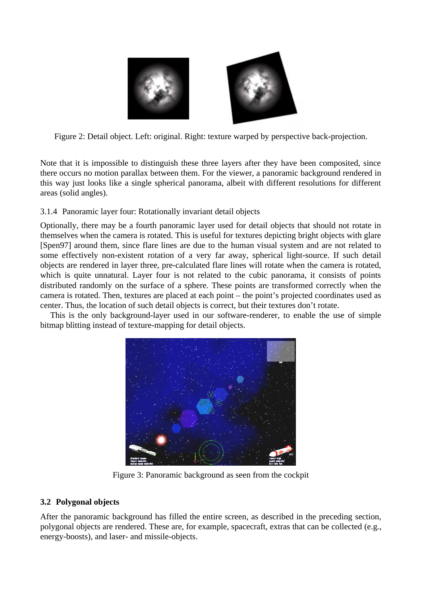

Figure 2: Detail object. Left: original. Right: texture warped by perspective back-projection.

Note that it is impossible to distinguish these three layers after they have been composited, since there occurs no motion parallax between them. For the viewer, a panoramic background rendered in this way just looks like a single spherical panorama, albeit with different resolutions for different areas (solid angles).

## 3.1.4 Panoramic layer four: Rotationally invariant detail objects

Optionally, there may be a fourth panoramic layer used for detail objects that should not rotate in themselves when the camera is rotated. This is useful for textures depicting bright objects with glare [Spen97] around them, since flare lines are due to the human visual system and are not related to some effectively non-existent rotation of a very far away, spherical light-source. If such detail objects are rendered in layer three, pre-calculated flare lines will rotate when the camera is rotated, which is quite unnatural. Layer four is not related to the cubic panorama, it consists of points distributed randomly on the surface of a sphere. These points are transformed correctly when the camera is rotated. Then, textures are placed at each point – the point's projected coordinates used as center. Thus, the location of such detail objects is correct, but their textures don't rotate.

This is the only background-layer used in our software-renderer, to enable the use of simple bitmap blitting instead of texture-mapping for detail objects.



Figure 3: Panoramic background as seen from the cockpit

## **3.2 Polygonal objects**

After the panoramic background has filled the entire screen, as described in the preceding section, polygonal objects are rendered. These are, for example, spacecraft, extras that can be collected (e.g., energy-boosts), and laser- and missile-objects.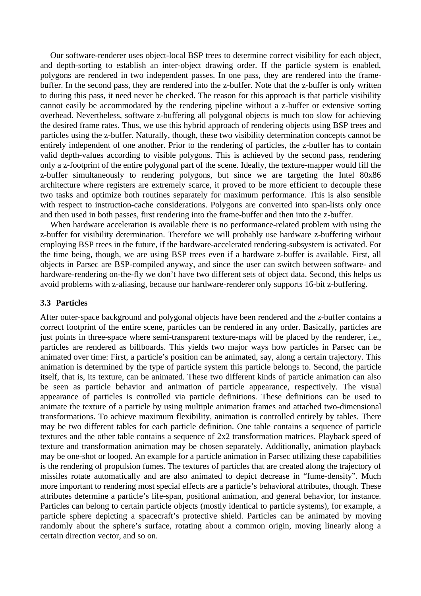Our software-renderer uses object-local BSP trees to determine correct visibility for each object, and depth-sorting to establish an inter-object drawing order. If the particle system is enabled, polygons are rendered in two independent passes. In one pass, they are rendered into the framebuffer. In the second pass, they are rendered into the z-buffer. Note that the z-buffer is only written to during this pass, it need never be checked. The reason for this approach is that particle visibility cannot easily be accommodated by the rendering pipeline without a z-buffer or extensive sorting overhead. Nevertheless, software z-buffering all polygonal objects is much too slow for achieving the desired frame rates. Thus, we use this hybrid approach of rendering objects using BSP trees and particles using the z-buffer. Naturally, though, these two visibility determination concepts cannot be entirely independent of one another. Prior to the rendering of particles, the z-buffer has to contain valid depth-values according to visible polygons. This is achieved by the second pass, rendering only a z-footprint of the entire polygonal part of the scene. Ideally, the texture-mapper would fill the z-buffer simultaneously to rendering polygons, but since we are targeting the Intel 80x86 architecture where registers are extremely scarce, it proved to be more efficient to decouple these two tasks and optimize both routines separately for maximum performance. This is also sensible with respect to instruction-cache considerations. Polygons are converted into span-lists only once and then used in both passes, first rendering into the frame-buffer and then into the z-buffer.

When hardware acceleration is available there is no performance-related problem with using the z-buffer for visibility determination. Therefore we will probably use hardware z-buffering without employing BSP trees in the future, if the hardware-accelerated rendering-subsystem is activated. For the time being, though, we are using BSP trees even if a hardware z-buffer is available. First, all objects in Parsec are BSP-compiled anyway, and since the user can switch between software- and hardware-rendering on-the-fly we don't have two different sets of object data. Second, this helps us avoid problems with z-aliasing, because our hardware-renderer only supports 16-bit z-buffering.

#### **3.3 Particles**

After outer-space background and polygonal objects have been rendered and the z-buffer contains a correct footprint of the entire scene, particles can be rendered in any order. Basically, particles are just points in three-space where semi-transparent texture-maps will be placed by the renderer, i.e., particles are rendered as billboards. This yields two major ways how particles in Parsec can be animated over time: First, a particle's position can be animated, say, along a certain trajectory. This animation is determined by the type of particle system this particle belongs to. Second, the particle itself, that is, its texture, can be animated. These two different kinds of particle animation can also be seen as particle behavior and animation of particle appearance, respectively. The visual appearance of particles is controlled via particle definitions. These definitions can be used to animate the texture of a particle by using multiple animation frames and attached two-dimensional transformations. To achieve maximum flexibility, animation is controlled entirely by tables. There may be two different tables for each particle definition. One table contains a sequence of particle textures and the other table contains a sequence of 2x2 transformation matrices. Playback speed of texture and transformation animation may be chosen separately. Additionally, animation playback may be one-shot or looped. An example for a particle animation in Parsec utilizing these capabilities is the rendering of propulsion fumes. The textures of particles that are created along the trajectory of missiles rotate automatically and are also animated to depict decrease in "fume-density". Much more important to rendering most special effects are a particle's behavioral attributes, though. These attributes determine a particle's life-span, positional animation, and general behavior, for instance. Particles can belong to certain particle objects (mostly identical to particle systems), for example, a particle sphere depicting a spacecraft's protective shield. Particles can be animated by moving randomly about the sphere's surface, rotating about a common origin, moving linearly along a certain direction vector, and so on.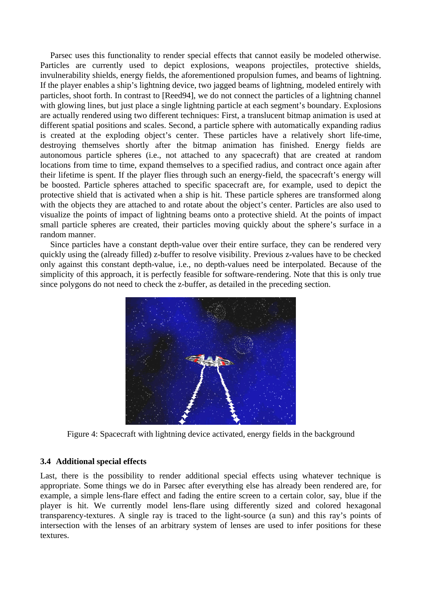Parsec uses this functionality to render special effects that cannot easily be modeled otherwise. Particles are currently used to depict explosions, weapons projectiles, protective shields, invulnerability shields, energy fields, the aforementioned propulsion fumes, and beams of lightning. If the player enables a ship's lightning device, two jagged beams of lightning, modeled entirely with particles, shoot forth. In contrast to [Reed94], we do not connect the particles of a lightning channel with glowing lines, but just place a single lightning particle at each segment's boundary. Explosions are actually rendered using two different techniques: First, a translucent bitmap animation is used at different spatial positions and scales. Second, a particle sphere with automatically expanding radius is created at the exploding object's center. These particles have a relatively short life-time, destroying themselves shortly after the bitmap animation has finished. Energy fields are autonomous particle spheres (i.e., not attached to any spacecraft) that are created at random locations from time to time, expand themselves to a specified radius, and contract once again after their lifetime is spent. If the player flies through such an energy-field, the spacecraft's energy will be boosted. Particle spheres attached to specific spacecraft are, for example, used to depict the protective shield that is activated when a ship is hit. These particle spheres are transformed along with the objects they are attached to and rotate about the object's center. Particles are also used to visualize the points of impact of lightning beams onto a protective shield. At the points of impact small particle spheres are created, their particles moving quickly about the sphere's surface in a random manner.

Since particles have a constant depth-value over their entire surface, they can be rendered very quickly using the (already filled) z-buffer to resolve visibility. Previous z-values have to be checked only against this constant depth-value, i.e., no depth-values need be interpolated. Because of the simplicity of this approach, it is perfectly feasible for software-rendering. Note that this is only true since polygons do not need to check the z-buffer, as detailed in the preceding section.



Figure 4: Spacecraft with lightning device activated, energy fields in the background

## **3.4 Additional special effects**

Last, there is the possibility to render additional special effects using whatever technique is appropriate. Some things we do in Parsec after everything else has already been rendered are, for example, a simple lens-flare effect and fading the entire screen to a certain color, say, blue if the player is hit. We currently model lens-flare using differently sized and colored hexagonal transparency-textures. A single ray is traced to the light-source (a sun) and this ray's points of intersection with the lenses of an arbitrary system of lenses are used to infer positions for these textures.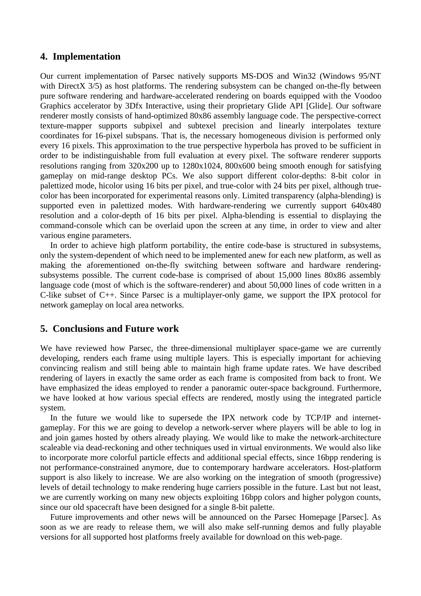## **4. Implementation**

Our current implementation of Parsec natively supports MS-DOS and Win32 (Windows 95/NT with DirectX 3/5) as host platforms. The rendering subsystem can be changed on-the-fly between pure software rendering and hardware-accelerated rendering on boards equipped with the Voodoo Graphics accelerator by 3Dfx Interactive, using their proprietary Glide API [Glide]. Our software renderer mostly consists of hand-optimized 80x86 assembly language code. The perspective-correct texture-mapper supports subpixel and subtexel precision and linearly interpolates texture coordinates for 16-pixel subspans. That is, the necessary homogeneous division is performed only every 16 pixels. This approximation to the true perspective hyperbola has proved to be sufficient in order to be indistinguishable from full evaluation at every pixel. The software renderer supports resolutions ranging from 320x200 up to 1280x1024, 800x600 being smooth enough for satisfying gameplay on mid-range desktop PCs. We also support different color-depths: 8-bit color in palettized mode, hicolor using 16 bits per pixel, and true-color with 24 bits per pixel, although truecolor has been incorporated for experimental reasons only. Limited transparency (alpha-blending) is supported even in palettized modes. With hardware-rendering we currently support 640x480 resolution and a color-depth of 16 bits per pixel. Alpha-blending is essential to displaying the command-console which can be overlaid upon the screen at any time, in order to view and alter various engine parameters.

In order to achieve high platform portability, the entire code-base is structured in subsystems, only the system-dependent of which need to be implemented anew for each new platform, as well as making the aforementioned on-the-fly switching between software and hardware renderingsubsystems possible. The current code-base is comprised of about 15,000 lines 80x86 assembly language code (most of which is the software-renderer) and about 50,000 lines of code written in a C-like subset of C++. Since Parsec is a multiplayer-only game, we support the IPX protocol for network gameplay on local area networks.

## **5. Conclusions and Future work**

We have reviewed how Parsec, the three-dimensional multiplayer space-game we are currently developing, renders each frame using multiple layers. This is especially important for achieving convincing realism and still being able to maintain high frame update rates. We have described rendering of layers in exactly the same order as each frame is composited from back to front. We have emphasized the ideas employed to render a panoramic outer-space background. Furthermore, we have looked at how various special effects are rendered, mostly using the integrated particle system.

In the future we would like to supersede the IPX network code by TCP/IP and internetgameplay. For this we are going to develop a network-server where players will be able to log in and join games hosted by others already playing. We would like to make the network-architecture scaleable via dead-reckoning and other techniques used in virtual environments. We would also like to incorporate more colorful particle effects and additional special effects, since 16bpp rendering is not performance-constrained anymore, due to contemporary hardware accelerators. Host-platform support is also likely to increase. We are also working on the integration of smooth (progressive) levels of detail technology to make rendering huge carriers possible in the future. Last but not least, we are currently working on many new objects exploiting 16bpp colors and higher polygon counts, since our old spacecraft have been designed for a single 8-bit palette.

Future improvements and other news will be announced on the Parsec Homepage [Parsec]. As soon as we are ready to release them, we will also make self-running demos and fully playable versions for all supported host platforms freely available for download on this web-page.